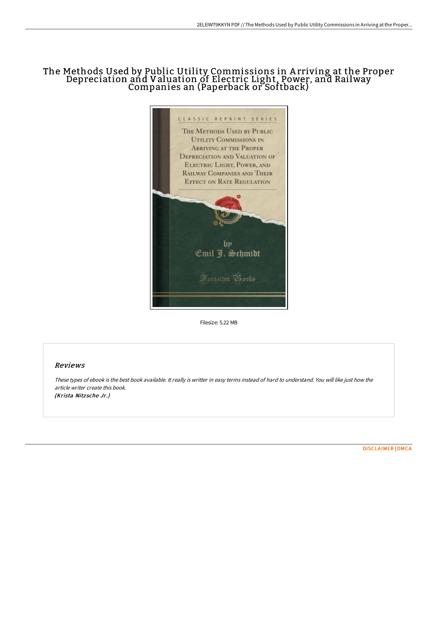# The Methods Used by Public Utility Commissions in A rriving at the Proper Depreciation and Valuation of Electric Light, Power, and Railway Companies an (Paperback or Softback)



Filesize: 5.22 MB

## Reviews

These types of ebook is the best book available. It really is writter in easy terms instead of hard to understand. You will like just how the article writer create this book. (Krista Nitzsche Jr.)

[DISCLAIMER](http://albedo.media/disclaimer.html) | [DMCA](http://albedo.media/dmca.html)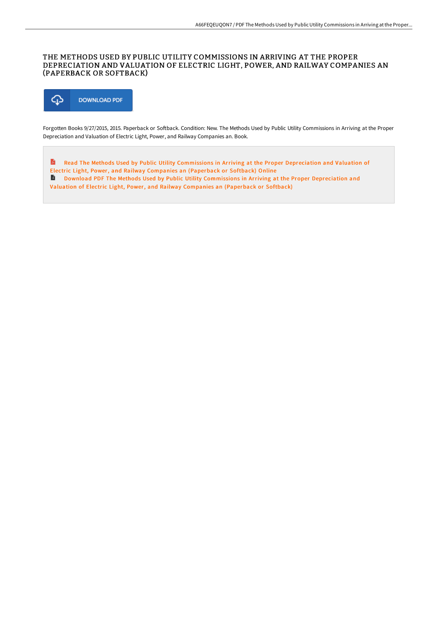### THE METHODS USED BY PUBLIC UTILITY COMMISSIONS IN ARRIVING AT THE PROPER DEPRECIATION AND VALUATION OF ELECTRIC LIGHT, POWER, AND RAILWAY COMPANIES AN (PAPERBACK OR SOFTBACK)



Forgotten Books 9/27/2015, 2015. Paperback or Softback. Condition: New. The Methods Used by Public Utility Commissions in Arriving at the Proper Depreciation and Valuation of Electric Light, Power, and Railway Companies an. Book.

A Read The Methods Used by Public Utility [Commissions](http://albedo.media/the-methods-used-by-public-utility-commissions-i.html) in Arriving at the Proper Depreciation and Valuation of Electric Light, Power, and Railway Companies an (Paperback or Softback) Online **Download PDF The Methods Used by Public Utility [Commissions](http://albedo.media/the-methods-used-by-public-utility-commissions-i.html) in Arriving at the Proper Depreciation and** Valuation of Electric Light, Power, and Railway Companies an (Paperback or Softback)